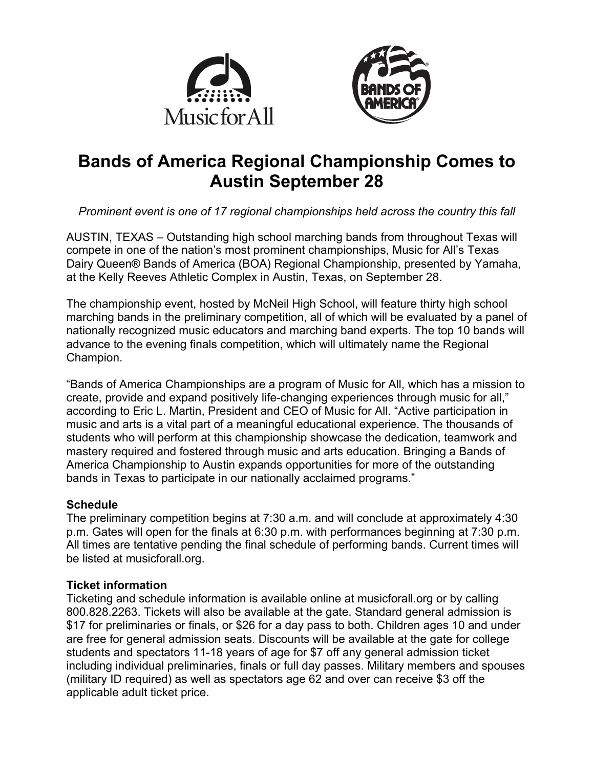



# **Bands of America Regional Championship Comes to Austin September 28**

*Prominent event is one of 17 regional championships held across the country this fall*

AUSTIN, TEXAS – Outstanding high school marching bands from throughout Texas will compete in one of the nation's most prominent championships, Music for All's Texas Dairy Queen® Bands of America (BOA) Regional Championship, presented by Yamaha, at the Kelly Reeves Athletic Complex in Austin, Texas, on September 28.

The championship event, hosted by McNeil High School, will feature thirty high school marching bands in the preliminary competition, all of which will be evaluated by a panel of nationally recognized music educators and marching band experts. The top 10 bands will advance to the evening finals competition, which will ultimately name the Regional Champion.

"Bands of America Championships are a program of Music for All, which has a mission to create, provide and expand positively life-changing experiences through music for all," according to Eric L. Martin, President and CEO of Music for All. "Active participation in music and arts is a vital part of a meaningful educational experience. The thousands of students who will perform at this championship showcase the dedication, teamwork and mastery required and fostered through music and arts education. Bringing a Bands of America Championship to Austin expands opportunities for more of the outstanding bands in Texas to participate in our nationally acclaimed programs."

# **Schedule**

The preliminary competition begins at 7:30 a.m. and will conclude at approximately 4:30 p.m. Gates will open for the finals at 6:30 p.m. with performances beginning at 7:30 p.m. All times are tentative pending the final schedule of performing bands. Current times will be listed at musicforall.org.

# **Ticket information**

Ticketing and schedule information is available online at musicforall.org or by calling 800.828.2263. Tickets will also be available at the gate. Standard general admission is \$17 for preliminaries or finals, or \$26 for a day pass to both. Children ages 10 and under are free for general admission seats. Discounts will be available at the gate for college students and spectators 11-18 years of age for \$7 off any general admission ticket including individual preliminaries, finals or full day passes. Military members and spouses (military ID required) as well as spectators age 62 and over can receive \$3 off the applicable adult ticket price.